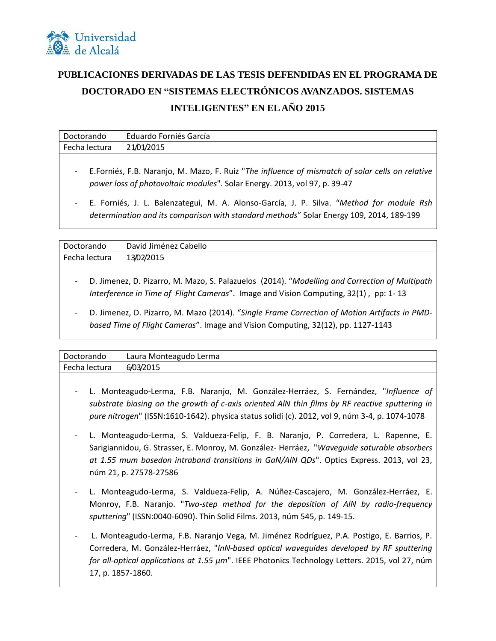

## **PUBLICACIONES DERIVADAS DE LAS TESIS DEFENDIDAS EN EL PROGRAMA DE DOCTORADO EN "SISTEMAS ELECTRÓNICOS AVANZADOS. SISTEMAS INTELIGENTES" EN EL AÑO 2015**

| Doctorando                                                                | Eduardo Forniés García                                                                            |
|---------------------------------------------------------------------------|---------------------------------------------------------------------------------------------------|
| Fecha lectura                                                             | 21/01/2015                                                                                        |
|                                                                           | - E.Forniés, F.B. Naranjo, M. Mazo, F. Ruiz "The influence of mismatch of solar cells on relative |
| power loss of photovoltaic modules". Solar Energy. 2013, vol 97, p. 39-47 |                                                                                                   |

- E. Forniés, J. L. Balenzategui, M. A. Alonso-García, J. P. Silva. "*Method for module Rsh determination and its comparison with standard methods*" Solar Energy 109, 2014, 189-199

| Doctorando    | David Jiménez Cabello |
|---------------|-----------------------|
| Fecha lectura | 13/02/2015            |
|               |                       |

- D. Jimenez, D. Pizarro, M. Mazo, S. Palazuelos (2014). "*Modelling and Correction of Multipath Interference in Time of Flight Cameras*". Image and Vision Computing, 32(1) , pp: 1- 13
- D. Jimenez, D. Pizarro, M. Mazo (2014). "*Single Frame Correction of Motion Artifacts in PMDbased Time of Flight Cameras*". Image and Vision Computing, 32(12), pp. 1127-1143

| Doctorando    | Laura Monteagudo Lerma |  |
|---------------|------------------------|--|
| Fecha lectura | 6/03/2015              |  |

- L. Monteagudo‐Lerma, F.B. Naranjo, M. González-Herráez, S. Fernández, "*Influence of substrate biasing on the growth of c-axis oriented AlN thin films by RF reactive sputtering in pure nitrogen*" (ISSN:1610-1642). physica status solidi (c). 2012, vol 9, núm 3-4, p. 1074-1078
- L. Monteagudo-Lerma, S. Valdueza-Felip, F. B. Naranjo, P. Corredera, L. Rapenne, E. Sarigiannidou, G. Strasser, E. Monroy, M. González- Herráez, "*Waveguide saturable absorbers at 1.55 mum basedon intraband transitions in GaN/AlN QDs*". Optics Express. 2013, vol 23, núm 21, p. 27578-27586
- L. Monteagudo‐Lerma, S. Valdueza-Felip, A. Núñez-Cascajero, M. González-Herráez, E. Monroy, F.B. Naranjo. "*Two-step method for the deposition of AlN by radio-frequency sputtering*" (ISSN:0040-6090). Thin Solid Films. 2013, núm 545, p. 149-15.
- L. Monteagudo-Lerma, F.B. Naranjo Vega, M. Jiménez Rodríguez, P.A. Postigo, E. Barrios, P. Corredera, M. González-Herráez, "*InN-based optical waveguides developed by RF sputtering for all-optical applications at 1.55 µm*". IEEE Photonics Technology Letters. 2015, vol 27, núm 17, p. 1857-1860.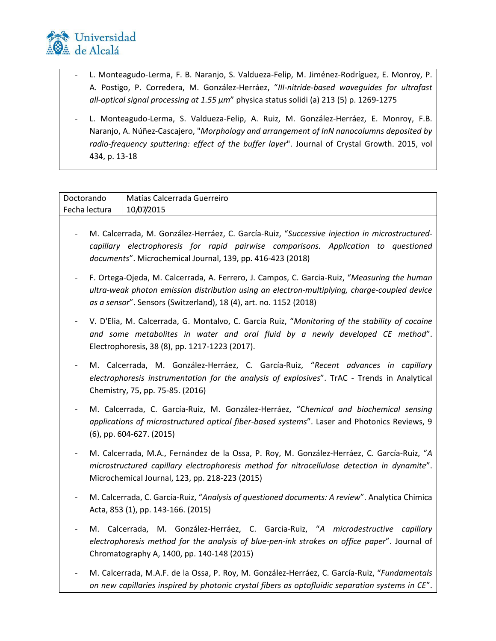

- L. Monteagudo-Lerma, F. B. Naranjo, S. Valdueza-Felip, M. Jiménez-Rodríguez, E. Monroy, P. A. Postigo, P. Corredera, M. González-Herráez, "*III‐nitride‐based waveguides for ultrafast all‐optical signal processing at 1.55 μm*" physica status solidi (a) 213 (5) p. 1269-1275
- L. Monteagudo-Lerma, S. Valdueza-Felip, A. Ruiz, M. González-Herráez, E. Monroy, F.B. Naranjo, A. Núñez-Cascajero, "*Morphology and arrangement of InN nanocolumns deposited by radio-frequency sputtering: effect of the buffer layer*". Journal of Crystal Growth. 2015, vol 434, p. 13-18

| Doctorando    | Matías Calcerrada Guerreiro |
|---------------|-----------------------------|
| Fecha lectura | 10/07/2015                  |

- M. Calcerrada, M. González-Herráez, C. García-Ruiz, "*Successive injection in microstructuredcapillary electrophoresis for rapid pairwise comparisons. Application to questioned documents*". Microchemical Journal, 139, pp. 416-423 (2018)
- F. Ortega-Ojeda, M. Calcerrada, A. Ferrero, J. Campos, C. Garcia-Ruiz, "*Measuring the human ultra-weak photon emission distribution using an electron-multiplying, charge-coupled device as a sensor*". Sensors (Switzerland), 18 (4), art. no. 1152 (2018)
- V. D'Elia, M. Calcerrada, G. Montalvo, C. García Ruiz, "*Monitoring of the stability of cocaine and some metabolites in water and oral fluid by a newly developed CE method*". Electrophoresis, 38 (8), pp. 1217-1223 (2017).
- M. Calcerrada, M. González-Herráez, C. García-Ruiz, "*Recent advances in capillary electrophoresis instrumentation for the analysis of explosives*". TrAC - Trends in Analytical Chemistry, 75, pp. 75-85. (2016)
- M. Calcerrada, C. García-Ruiz, M. González-Herráez, "C*hemical and biochemical sensing applications of microstructured optical fiber-based systems*". Laser and Photonics Reviews, 9 (6), pp. 604-627. (2015)
- M. Calcerrada, M.A., Fernández de la Ossa, P. Roy, M. González-Herráez, C. García-Ruiz, "*A microstructured capillary electrophoresis method for nitrocellulose detection in dynamite*". Microchemical Journal, 123, pp. 218-223 (2015)
- M. Calcerrada, C. García-Ruiz, "*Analysis of questioned documents: A review*". Analytica Chimica Acta, 853 (1), pp. 143-166. (2015)
- M. Calcerrada, M. González-Herráez, C. Garcia-Ruiz, "*A microdestructive capillary electrophoresis method for the analysis of blue-pen-ink strokes on office paper*". Journal of Chromatography A, 1400, pp. 140-148 (2015)
- M. Calcerrada, M.A.F. de la Ossa, P. Roy, M. González-Herráez, C. García-Ruiz, "*Fundamentals on new capillaries inspired by photonic crystal fibers as optofluidic separation systems in CE*".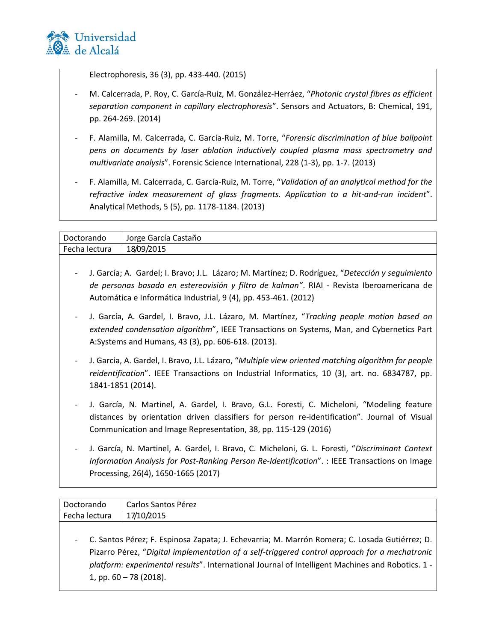

Electrophoresis, 36 (3), pp. 433-440. (2015)

- M. Calcerrada, P. Roy, C. García-Ruiz, M. González-Herráez, "*Photonic crystal fibres as efficient separation component in capillary electrophoresis*". Sensors and Actuators, B: Chemical, 191, pp. 264-269. (2014)
- F. Alamilla, M. Calcerrada, C. García-Ruiz, M. Torre, "*Forensic discrimination of blue ballpoint pens on documents by laser ablation inductively coupled plasma mass spectrometry and multivariate analysis*". Forensic Science International, 228 (1-3), pp. 1-7. (2013)
- F. Alamilla, M. Calcerrada, C. García-Ruiz, M. Torre, "*Validation of an analytical method for the refractive index measurement of glass fragments. Application to a hit-and-run incident*". Analytical Methods, 5 (5), pp. 1178-1184. (2013)

| Doctorando               | Jorge García Castaño                                                                                                                                                                                                                                             |
|--------------------------|------------------------------------------------------------------------------------------------------------------------------------------------------------------------------------------------------------------------------------------------------------------|
| Fecha lectura            | 18/09/2015                                                                                                                                                                                                                                                       |
|                          |                                                                                                                                                                                                                                                                  |
|                          | J. García; A. Gardel; I. Bravo; J.L. Lázaro; M. Martínez; D. Rodríguez, "Detección y seguimiento<br>de personas basado en estereovisión y filtro de kalman". RIAI - Revista Iberoamericana de<br>Automática e Informática Industrial, 9 (4), pp. 453-461. (2012) |
|                          | J. García, A. Gardel, I. Bravo, J.L. Lázaro, M. Martínez, "Tracking people motion based on<br>extended condensation algorithm", IEEE Transactions on Systems, Man, and Cybernetics Part<br>A:Systems and Humans, 43 (3), pp. 606-618. (2013).                    |
| $\overline{\phantom{a}}$ | J. Garcia, A. Gardel, I. Bravo, J.L. Lázaro, "Multiple view oriented matching algorithm for people<br>reidentification". IEEE Transactions on Industrial Informatics, 10 (3), art. no. 6834787, pp.<br>1841-1851 (2014).                                         |
|                          | J. García, N. Martinel, A. Gardel, I. Bravo, G.L. Foresti, C. Micheloni, "Modeling feature<br>distances by orientation driven classifiers for person re-identification". Journal of Visual<br>Communication and Image Representation, 38, pp. 115-129 (2016)     |
|                          | J. García, N. Martinel, A. Gardel, I. Bravo, C. Micheloni, G. L. Foresti, "Discriminant Context                                                                                                                                                                  |

*Information Analysis for Post-Ranking Person Re-Identification*". : IEEE Transactions on Image Processing, 26(4), 1650-1665 (2017)

| Doctorando    | Carlos Santos Pérez                                                                                                                                                                                                                                                                                                              |
|---------------|----------------------------------------------------------------------------------------------------------------------------------------------------------------------------------------------------------------------------------------------------------------------------------------------------------------------------------|
| Fecha lectura | 17/10/2015                                                                                                                                                                                                                                                                                                                       |
|               | - C. Santos Pérez; F. Espinosa Zapata; J. Echevarria; M. Marrón Romera; C. Losada Gutiérrez; D.<br>Pizarro Pérez, "Digital implementation of a self-triggered control approach for a mechatronic<br>platform: experimental results". International Journal of Intelligent Machines and Robotics. 1 -<br>1, pp. $60 - 78$ (2018). |